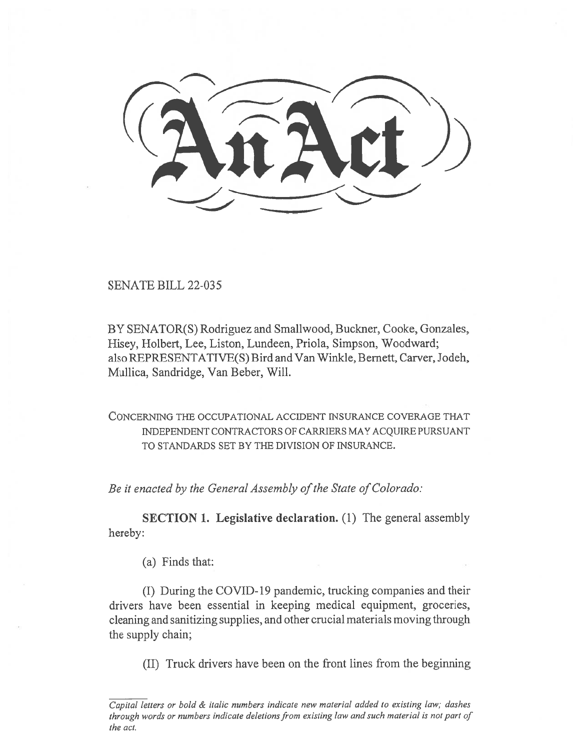SENATE BILL 22-035

BY SENATOR(S) Rodriguez and Smallwood, Buckner, Cooke, Gonzales, Hisey, Holbert, Lee, Liston, Lundeen, Priola, Simpson, Woodward; also REPRESENTATIVE(S) Bird and Van Winkle, Bernett, Carver, Jodeh, Mullica, Sandridge, Van Beber, Will.

CONCERNING THE OCCUPATIONAL ACCIDENT INSURANCE COVERAGE THAT INDEPENDENT CONTRACTORS OF CARRIERS MAY ACQUIRE PURSUANT TO STANDARDS SET BY THE DIVISION OF INSURANCE.

Be it enacted by the General Assembly of the State of Colorado:

SECTION I. Legislative declaration. (1) The general assembly hereby:

(a) Finds that:

(I) During the COVID-19 pandemic, trucking companies and their drivers have been essential in keeping medical equipment, groceries, cleaning and sanitizing supplies, and other crucial materials moving through the supply chain;

(II) Truck drivers have been on the front lines from the beginning

 $\overline{Capital}$  letters or bold  $\&$  italic numbers indicate new material added to existing law; dashes through words or numbers indicate deletions from existing law and such material is not part of the act.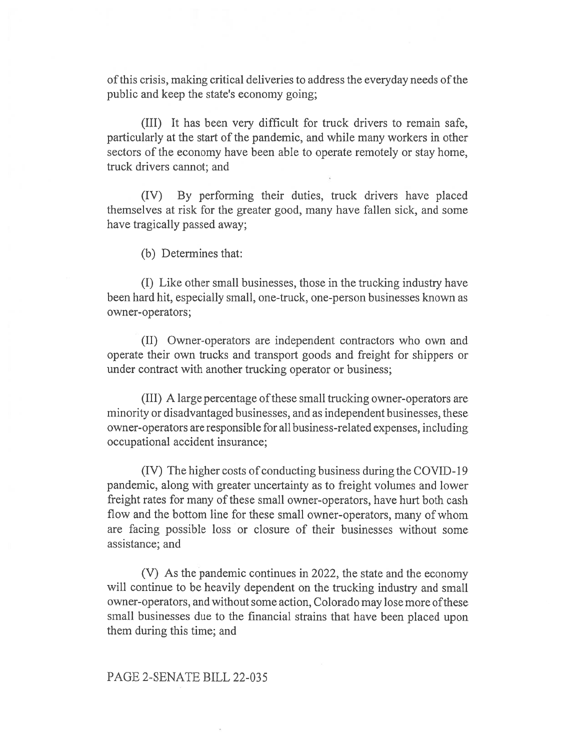of this crisis, making critical deliveries to address the everyday needs of the public and keep the state's economy going;

(III) It has been very difficult for truck drivers to remain safe, particularly at the start of the pandemic, and while many workers in other sectors of the economy have been able to operate remotely or stay home, truck drivers cannot; and

(IV) By performing their duties, truck drivers have placed themselves at risk for the greater good, many have fallen sick, and some have tragically passed away;

(b) Determines that:

(I) Like other small businesses, those in the trucking industry have been hard hit, especially small, one-truck, one-person businesses known as owner-operators;

(II) Owner-operators are independent contractors who own and operate their own trucks and transport goods and freight for shippers or under contract with another trucking operator or business;

(III) A large percentage of these small trucking owner-operators are minority or disadvantaged businesses, and as independent businesses, these owner-operators are responsible for all business-related expenses, including occupational accident insurance;

(IV) The higher costs of conducting business during the COVID-19 pandemic, along with greater uncertainty as to freight volumes and lower freight rates for many of these small owner-operators, have hurt both cash flow and the bottom line for these small owner-operators, many of whom are facing possible loss or closure of their businesses without some assistance; and

(V) As the pandemic continues in 2022, the state and the economy will continue to be heavily dependent on the trucking industry and small owner-operators, and without some action, Colorado may lose more ofthese small businesses due to the financial strains that have been placed upon them during this time; and

## PAGE 2-SENATE BILL 22-035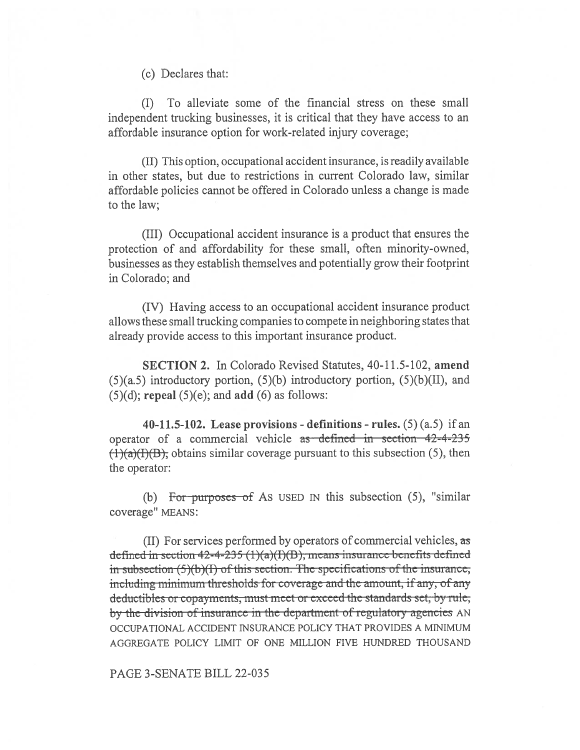(c) Declares that:

(I) To alleviate some of the financial stress on these small independent trucking businesses, it is critical that they have access to an affordable insurance option for work-related injury coverage;

(II) This option, occupational accident insurance, is readily available in other states, but due to restrictions in current Colorado law, similar affordable policies cannot be offered in Colorado unless a change is made to the law;

(III) Occupational accident insurance is a product that ensures the protection of and affordability for these small, often minority-owned, businesses as they establish themselves and potentially grow their footprint in Colorado; and

(IV) Having access to an occupational accident insurance product allows these small trucking companies to compete in neighboring states that already provide access to this important insurance product.

SECTION 2. In Colorado Revised Statutes, 40-11.5-102, amend  $(5)(a.5)$  introductory portion,  $(5)(b)$  introductory portion,  $(5)(b)(II)$ , and  $(5)(d)$ ; repeal  $(5)(e)$ ; and add  $(6)$  as follows:

40-11.5-102. Lease provisions - definitions - rules.  $(5)$   $(a.5)$  if an operator of a commercial vehicle as defined in section 42-4-235  $(1)(a)(I)(B)$ , obtains similar coverage pursuant to this subsection (5), then the operator:

(b) For purposes of As USED IN this subsection  $(5)$ , "similar coverage" MEANS:

(II) For services performed by operators of commercial vehicles, as defined in section  $42 - 4 - 235$  (1)(a)(I)(B), means insurance benefits defined in-subsection  $(5)(b)(I)$  of this section. The specifications of the insurance; including minimum thresholds for coverage and the amount, if any, of any by the division of insurance in the department of regulatory agencies AN deductibles or copayments, must meet or exceed the standards set, by rule, OCCUPATIONAL ACCIDENT INSURANCE POLICY THAT PROVIDES A MINIMUM AGGREGATE POLICY LIMIT OF ONE MILLION FIVE HUNDRED THOUSAND

## PAGE 3-SENATE BILL 22-035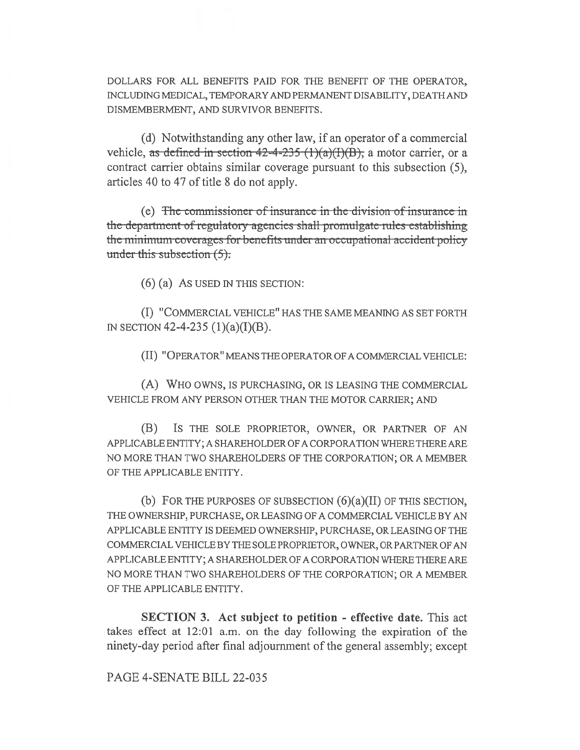DOLLARS FOR ALL BENEFITS PAID FOR THE BENEFIT OF THE OPERATOR, INCLUDING MEDICAL, TEMPORARY AND PERMANENT DISABILITY, DEATH AND DISMEMBERMENT, AND SURVIVOR BENEFITS.

(d) Notwithstanding any other law, if an operator of a commercial vehicle, as defined in section  $42-4-235$  (1)(a)(I)(B), a motor carrier, or a contract carrier obtains similar coverage pursuant to this subsection (5). articles 40 to 47 of title 8 do not apply.

(e) The commissioner of insurance in the division of insurance in the department of regulatory agencies shall promulgate rules establishing the minimum coverages for benefits under an occupational accident policy under this subsection  $(5)$ .

 $(6)$  (a) As USED IN THIS SECTION:

(I) "COMMERCIAL VEHICLE" HAS THE SAME MEANING AS SET FORTH IN SECTION 42-4-235  $(1)(a)(I)(B)$ .

(II) "OPERATOR" MEANS THE OPERATOR OF A COMMERCIAL VEHICLE:

(A) WHO OWNS, IS PURCHASING, OR IS LEASING THE COMMERCIAL VEHICLE FROM ANY PERSON OTHER THAN THE MOTOR CARRIER; AND

(B) IS THE SOLE PROPRIETOR, OWNER, OR PARTNER OF AN APPLICABLE ENTITY; A SHAREHOLDER OF A CORPORATION WHERE THERE ARE NO MORE THAN TWO SHAREHOLDERS OF THE CORPORATION; OR A MEMBER OF THE APPLICABLE ENTITY.

(b) FOR THE PURPOSES OF SUBSECTION  $(6)(a)(II)$  OF THIS SECTION, THE OWNERSHIP, PURCHASE, OR LEASING OF A COMMERCIAL VEHICLE BY AN APPLICABLE ENTITY IS DEEMED OWNERSHIP, PURCHASE, OR LEASING OF THE COMMERCIAL VEHICLE BY THE SOLE PROPRIETOR, OWNER, OR PARTNER OF AN APPLICABLE ENTITY; A SHAREHOLDER OF A CORPORATION WHERE THERE ARE NO MORE THAN TWO SHAREHOLDERS OF THE CORPORATION; OR A MEMBER OF THE APPLICABLE ENTITY.

**SECTION 3.** Act subject to petition - effective date. This act takes effect at 12:01 a.m. on the day following the expiration of the ninety-day period after final adjournment of the general assembly; except

PAGE 4-SENATE BILL 22-035